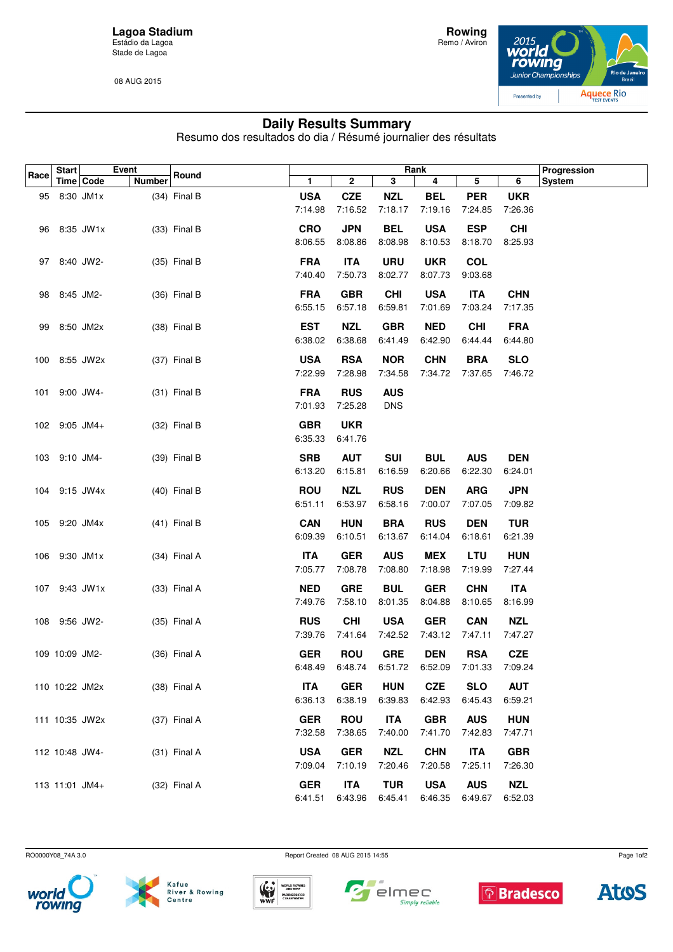**Lagoa Stadium** Estádio da Lagoa Stade de Lagoa

08 AUG 2015



## **Daily Results Summary**

Resumo dos resultados do dia / Résumé journalier des résultats

| Race | <b>Start</b>    |             | Event         | Round          |                       |            |            | Rank                  |            |            | Progression   |
|------|-----------------|-------------|---------------|----------------|-----------------------|------------|------------|-----------------------|------------|------------|---------------|
|      |                 | Time   Code | <b>Number</b> |                | 1                     | 2          | 3          | 4                     | 5          | 6          | <b>System</b> |
|      | 95 8:30 JM1x    |             |               | $(34)$ Final B | <b>USA</b>            | <b>CZE</b> | <b>NZL</b> | <b>BEL</b>            | <b>PER</b> | <b>UKR</b> |               |
|      |                 |             |               |                | 7:14.98               | 7:16.52    | 7:18.17    | 7:19.16               | 7:24.85    | 7:26.36    |               |
|      | 96 8:35 JW1x    |             |               | $(33)$ Final B | <b>CRO</b>            | <b>JPN</b> | <b>BEL</b> | <b>USA</b>            | <b>ESP</b> | <b>CHI</b> |               |
|      |                 |             |               |                | 8:06.55               | 8:08.86    | 8:08.98    | 8:10.53               | 8:18.70    | 8:25.93    |               |
|      |                 |             |               |                |                       |            |            |                       |            |            |               |
| 97   | 8:40 JW2-       |             |               | $(35)$ Final B | <b>FRA</b>            | <b>ITA</b> | <b>URU</b> | <b>UKR</b>            | <b>COL</b> |            |               |
|      |                 |             |               |                | 7:40.40               | 7:50.73    | 8:02.77    | 8:07.73               | 9:03.68    |            |               |
|      | 98 8:45 JM2-    |             |               | $(36)$ Final B | <b>FRA</b>            | <b>GBR</b> | <b>CHI</b> | <b>USA</b>            | <b>ITA</b> | <b>CHN</b> |               |
|      |                 |             |               |                | 6:55.15               | 6:57.18    | 6:59.81    | 7:01.69               | 7:03.24    | 7:17.35    |               |
| 99   | 8:50 JM2x       |             |               | $(38)$ Final B | <b>EST</b>            | <b>NZL</b> | <b>GBR</b> | <b>NED</b>            | <b>CHI</b> | <b>FRA</b> |               |
|      |                 |             |               |                | 6:38.02               | 6:38.68    | 6:41.49    | 6:42.90               | 6:44.44    | 6:44.80    |               |
|      |                 |             |               |                | <b>USA</b>            | <b>RSA</b> | <b>NOR</b> |                       | <b>BRA</b> | <b>SLO</b> |               |
|      | 100 8:55 JW2x   |             |               | (37) Final B   | 7:22.99               | 7:28.98    | 7:34.58    | <b>CHN</b><br>7:34.72 | 7:37.65    | 7:46.72    |               |
|      |                 |             |               |                |                       |            |            |                       |            |            |               |
| 101  |                 | 9:00 JW4-   |               | $(31)$ Final B | <b>FRA</b>            | <b>RUS</b> | <b>AUS</b> |                       |            |            |               |
|      |                 |             |               |                | 7:01.93               | 7:25.28    | <b>DNS</b> |                       |            |            |               |
|      | $102$ 9:05 JM4+ |             |               | $(32)$ Final B | <b>GBR</b>            | <b>UKR</b> |            |                       |            |            |               |
|      |                 |             |               |                | 6:35.33               | 6:41.76    |            |                       |            |            |               |
|      | 103 9:10 JM4-   |             |               | (39) Final B   | <b>SRB</b>            | <b>AUT</b> | <b>SUI</b> | <b>BUL</b>            | <b>AUS</b> | <b>DEN</b> |               |
|      |                 |             |               |                | 6:13.20               | 6:15.81    | 6:16.59    | 6:20.66               | 6:22.30    | 6:24.01    |               |
|      |                 |             |               |                |                       |            |            |                       |            |            |               |
|      | 104 9:15 JW4x   |             |               | $(40)$ Final B | <b>ROU</b>            | <b>NZL</b> | <b>RUS</b> | <b>DEN</b>            | <b>ARG</b> | <b>JPN</b> |               |
|      |                 |             |               |                | 6:51.11               | 6:53.97    | 6:58.16    | 7:00.07               | 7:07.05    | 7:09.82    |               |
|      | 105 9:20 JM4x   |             |               | $(41)$ Final B | <b>CAN</b>            | <b>HUN</b> | <b>BRA</b> | <b>RUS</b>            | <b>DEN</b> | <b>TUR</b> |               |
|      |                 |             |               |                | 6:09.39               | 6:10.51    | 6:13.67    | 6:14.04               | 6:18.61    | 6:21.39    |               |
|      | 106 9:30 JM1x   |             |               | $(34)$ Final A | <b>ITA</b>            | <b>GER</b> | <b>AUS</b> | <b>MEX</b>            | <b>LTU</b> | <b>HUN</b> |               |
|      |                 |             |               |                | 7:05.77               | 7:08.78    | 7:08.80    | 7:18.98               | 7:19.99    | 7:27.44    |               |
|      |                 |             |               |                |                       |            |            |                       |            |            |               |
|      | 107 9:43 JW1x   |             |               | $(33)$ Final A | <b>NED</b><br>7:49.76 | <b>GRE</b> | <b>BUL</b> | <b>GER</b><br>8:04.88 | <b>CHN</b> | <b>ITA</b> |               |
|      |                 |             |               |                |                       | 7:58.10    | 8:01.35    |                       | 8:10.65    | 8:16.99    |               |
|      | 108 9:56 JW2-   |             |               | $(35)$ Final A | <b>RUS</b>            | <b>CHI</b> | <b>USA</b> | <b>GER</b>            | <b>CAN</b> | <b>NZL</b> |               |
|      |                 |             |               |                | 7:39.76               | 7:41.64    | 7:42.52    | 7:43.12               | 7:47.11    | 7:47.27    |               |
|      | 109 10:09 JM2-  |             |               | $(36)$ Final A | <b>GER</b>            | <b>ROU</b> | <b>GRE</b> | <b>DEN</b>            | <b>RSA</b> | <b>CZE</b> |               |
|      |                 |             |               |                | 6:48.49               | 6:48.74    | 6:51.72    | 6:52.09               | 7:01.33    | 7:09.24    |               |
|      | 110 10:22 JM2x  |             |               | (38) Final A   | <b>ITA</b>            | <b>GER</b> | <b>HUN</b> | <b>CZE</b>            | <b>SLO</b> | <b>AUT</b> |               |
|      |                 |             |               |                | 6:36.13               | 6:38.19    | 6:39.83    | 6:42.93               | 6:45.43    | 6:59.21    |               |
|      |                 |             |               |                |                       |            |            |                       |            |            |               |
|      | 111 10:35 JW2x  |             |               | $(37)$ Final A | <b>GER</b>            | <b>ROU</b> | <b>ITA</b> | <b>GBR</b>            | <b>AUS</b> | <b>HUN</b> |               |
|      |                 |             |               |                | 7:32.58               | 7:38.65    | 7:40.00    | 7:41.70               | 7:42.83    | 7:47.71    |               |
|      | 112 10:48 JW4-  |             |               | $(31)$ Final A | <b>USA</b>            | <b>GER</b> | <b>NZL</b> | <b>CHN</b>            | <b>ITA</b> | <b>GBR</b> |               |
|      |                 |             |               |                | 7:09.04               | 7:10.19    | 7:20.46    | 7:20.58               | 7:25.11    | 7:26.30    |               |
|      | 113 11:01 JM4+  |             |               | $(32)$ Final A | <b>GER</b>            | <b>ITA</b> | <b>TUR</b> | <b>USA</b>            | <b>AUS</b> | <b>NZL</b> |               |
|      |                 |             |               |                | 6:41.51               | 6:43.96    | 6:45.41    | 6:46.35               | 6:49.67    | 6:52.03    |               |

RO0000Y08\_74A 3.0 Report Created 08 AUG 2015 14:55







 $\blacksquare$ 







Page 1of2